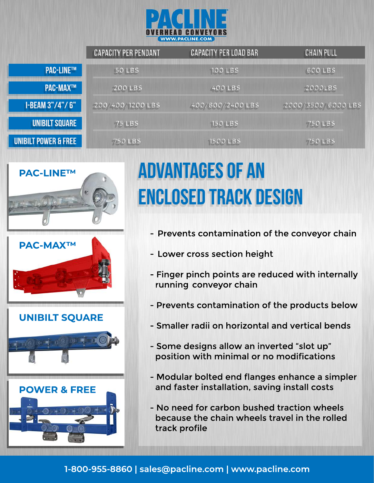

|                        | <b>CAPACITY PER PENDANT</b> | <b>CAPACITY PER LOAD BAR</b> | <b>CHAIN PULL</b>  |
|------------------------|-----------------------------|------------------------------|--------------------|
| <b>PAC-LINE™</b>       | <b>50 LBS</b>               | <b>100 LBS</b>               | <b>600 LBS</b>     |
| <b>PAC-MAX™</b>        | <b>200 LBS</b>              | <b>400 LBS</b>               | <b>2000LBS</b>     |
| <b>I-BEAM 3"/4"/6"</b> | 200/400/1200 LBS            | 400/800/2400 LBS             | 2000/3500/6000 LBS |
| <b>UNIBILT SQUARE</b>  | <b>75 LBS</b>               | <b>150 LBS</b>               | <b>750 LBS</b>     |
| UNIBILT POWER & FREE   | <b>750 LBS</b>              | 1500 LBS                     | <b>750 LBS</b>     |





#### **UNIBILTSQUARE**





# **ADVANTAGES OF AN ENCLOSED TRACK DESIGN**

- Prevents contamination of the conveyor chain
- Lower cross section height
- Finger pinch points are reduced with internally running conveyor chain
- Prevents contamination of the products below
- Smaller radii on horizontal and vertical bends
- Some designs allow an inverted "slot up" position with minimal or no modifications
- Modular bolted end flanges enhance a simpler and faster installation, saving install costs
- No need for carbon bushed traction wheels because the chain wheels travel in the rolled track profile

#### **1-800-955-8860|sales@pacline.com |www.pacline.com**